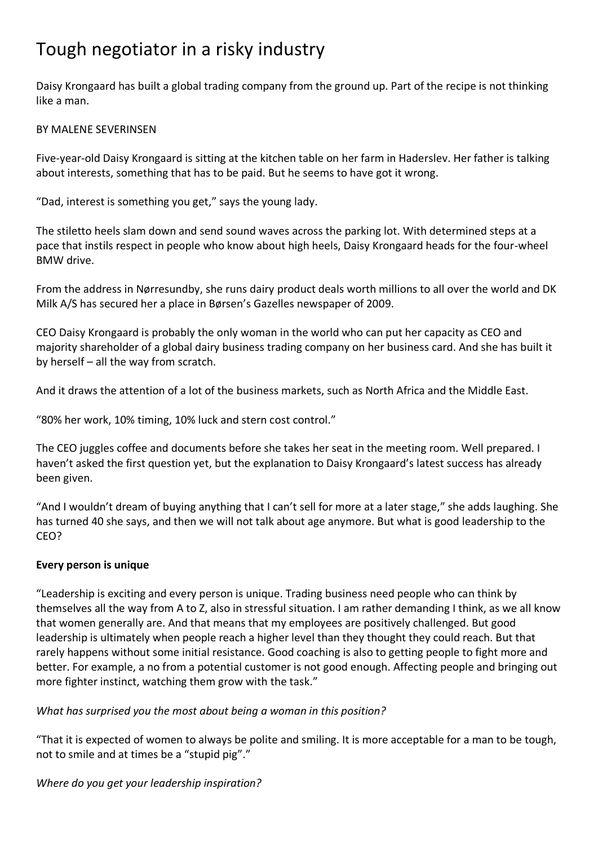# Tough negotiator in a risky industry

Daisy Krongaard has built a global trading company from the ground up. Part of the recipe is not thinking like a man.

### BY MALENE SEVERINSEN

Five-year-old Daisy Krongaard is sitting at the kitchen table on her farm in Haderslev. Her father is talking about interests, something that has to be paid. But he seems to have got it wrong.

"Dad, interest is something you get," says the young lady.

The stiletto heels slam down and send sound waves across the parking lot. With determined steps at a pace that instils respect in people who know about high heels, Daisy Krongaard heads for the four-wheel BMW drive.

From the address in Nørresundby, she runs dairy product deals worth millions to all over the world and DK Milk A/S has secured her a place in Børsen's Gazelles newspaper of 2009.

CEO Daisy Krongaard is probably the only woman in the world who can put her capacity as CEO and majority shareholder of a global dairy business trading company on her business card. And she has built it by herself – all the way from scratch.

And it draws the attention of a lot of the business markets, such as North Africa and the Middle East.

"80% her work, 10% timing, 10% luck and stern cost control."

The CEO juggles coffee and documents before she takes her seat in the meeting room. Well prepared. I haven't asked the first question yet, but the explanation to Daisy Krongaard's latest success has already been given.

"And I wouldn't dream of buying anything that I can't sell for more at a later stage," she adds laughing. She has turned 40 she says, and then we will not talk about age anymore. But what is good leadership to the CEO?

### **Every person is unique**

"Leadership is exciting and every person is unique. Trading business need people who can think by themselves all the way from A to Z, also in stressful situation. I am rather demanding I think, as we all know that women generally are. And that means that my employees are positively challenged. But good leadership is ultimately when people reach a higher level than they thought they could reach. But that rarely happens without some initial resistance. Good coaching is also to getting people to fight more and better. For example, a no from a potential customer is not good enough. Affecting people and bringing out more fighter instinct, watching them grow with the task."

### *What has surprised you the most about being a woman in this position?*

"That it is expected of women to always be polite and smiling. It is more acceptable for a man to be tough, not to smile and at times be a "stupid pig"."

### *Where do you get your leadership inspiration?*